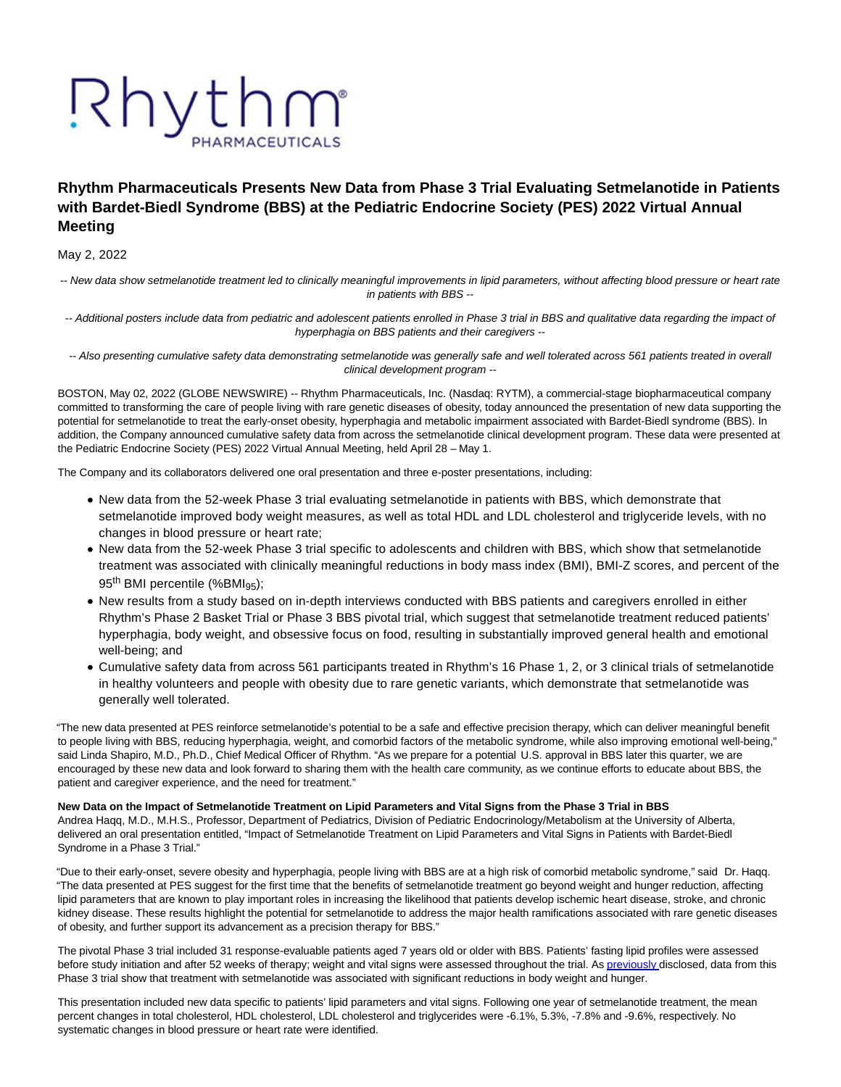# Rhythm

# **Rhythm Pharmaceuticals Presents New Data from Phase 3 Trial Evaluating Setmelanotide in Patients with Bardet-Biedl Syndrome (BBS) at the Pediatric Endocrine Society (PES) 2022 Virtual Annual Meeting**

May 2, 2022

-- New data show setmelanotide treatment led to clinically meaningful improvements in lipid parameters, without affecting blood pressure or heart rate in patients with BBS --

-- Additional posters include data from pediatric and adolescent patients enrolled in Phase 3 trial in BBS and qualitative data regarding the impact of hyperphagia on BBS patients and their caregivers --

-- Also presenting cumulative safety data demonstrating setmelanotide was generally safe and well tolerated across 561 patients treated in overall clinical development program --

BOSTON, May 02, 2022 (GLOBE NEWSWIRE) -- Rhythm Pharmaceuticals, Inc. (Nasdaq: RYTM), a commercial-stage biopharmaceutical company committed to transforming the care of people living with rare genetic diseases of obesity, today announced the presentation of new data supporting the potential for setmelanotide to treat the early-onset obesity, hyperphagia and metabolic impairment associated with Bardet-Biedl syndrome (BBS). In addition, the Company announced cumulative safety data from across the setmelanotide clinical development program. These data were presented at the Pediatric Endocrine Society (PES) 2022 Virtual Annual Meeting, held April 28 – May 1.

The Company and its collaborators delivered one oral presentation and three e-poster presentations, including:

- New data from the 52-week Phase 3 trial evaluating setmelanotide in patients with BBS, which demonstrate that setmelanotide improved body weight measures, as well as total HDL and LDL cholesterol and triglyceride levels, with no changes in blood pressure or heart rate;
- New data from the 52-week Phase 3 trial specific to adolescents and children with BBS, which show that setmelanotide treatment was associated with clinically meaningful reductions in body mass index (BMI), BMI-Z scores, and percent of the 95<sup>th</sup> BMI percentile (%BMI<sub>95</sub>);
- New results from a study based on in-depth interviews conducted with BBS patients and caregivers enrolled in either Rhythm's Phase 2 Basket Trial or Phase 3 BBS pivotal trial, which suggest that setmelanotide treatment reduced patients' hyperphagia, body weight, and obsessive focus on food, resulting in substantially improved general health and emotional well-being; and
- Cumulative safety data from across 561 participants treated in Rhythm's 16 Phase 1, 2, or 3 clinical trials of setmelanotide in healthy volunteers and people with obesity due to rare genetic variants, which demonstrate that setmelanotide was generally well tolerated.

"The new data presented at PES reinforce setmelanotide's potential to be a safe and effective precision therapy, which can deliver meaningful benefit to people living with BBS, reducing hyperphagia, weight, and comorbid factors of the metabolic syndrome, while also improving emotional well-being," said Linda Shapiro, M.D., Ph.D., Chief Medical Officer of Rhythm. "As we prepare for a potential U.S. approval in BBS later this quarter, we are encouraged by these new data and look forward to sharing them with the health care community, as we continue efforts to educate about BBS, the patient and caregiver experience, and the need for treatment."

**New Data on the Impact of Setmelanotide Treatment on Lipid Parameters and Vital Signs from the Phase 3 Trial in BBS** Andrea Haqq, M.D., M.H.S., Professor, Department of Pediatrics, Division of Pediatric Endocrinology/Metabolism at the University of Alberta, delivered an oral presentation entitled, "Impact of Setmelanotide Treatment on Lipid Parameters and Vital Signs in Patients with Bardet-Biedl Syndrome in a Phase 3 Trial."

"Due to their early-onset, severe obesity and hyperphagia, people living with BBS are at a high risk of comorbid metabolic syndrome," said Dr. Haqq. "The data presented at PES suggest for the first time that the benefits of setmelanotide treatment go beyond weight and hunger reduction, affecting lipid parameters that are known to play important roles in increasing the likelihood that patients develop ischemic heart disease, stroke, and chronic kidney disease. These results highlight the potential for setmelanotide to address the major health ramifications associated with rare genetic diseases of obesity, and further support its advancement as a precision therapy for BBS."

The pivotal Phase 3 trial included 31 response-evaluable patients aged 7 years old or older with BBS. Patients' fasting lipid profiles were assessed before study initiation and after 52 weeks of therapy; weight and vital signs were assessed throughout the trial. A[s previously d](https://www.globenewswire.com/Tracker?data=oWBSj1noTThh7eShonmcwAd0z66mDiJO68tHtJDAJElyhSBxL1pvXRCgHHrUgBj99_XB_W1kb_GiLmI8grBJ7nsblRtXawzAxtBFZQx56IgYwOlX3dZJ3dTyK8XGzNJwac2mvDU-mozUtSHdRiMpZJ19GHQLww6mAObqyu_s5maA8CUYsruZdT5jNteb31omN7ppLUzHEBoxEaX82gHOmQ==)isclosed, data from this Phase 3 trial show that treatment with setmelanotide was associated with significant reductions in body weight and hunger.

This presentation included new data specific to patients' lipid parameters and vital signs. Following one year of setmelanotide treatment, the mean percent changes in total cholesterol, HDL cholesterol, LDL cholesterol and triglycerides were -6.1%, 5.3%, -7.8% and -9.6%, respectively. No systematic changes in blood pressure or heart rate were identified.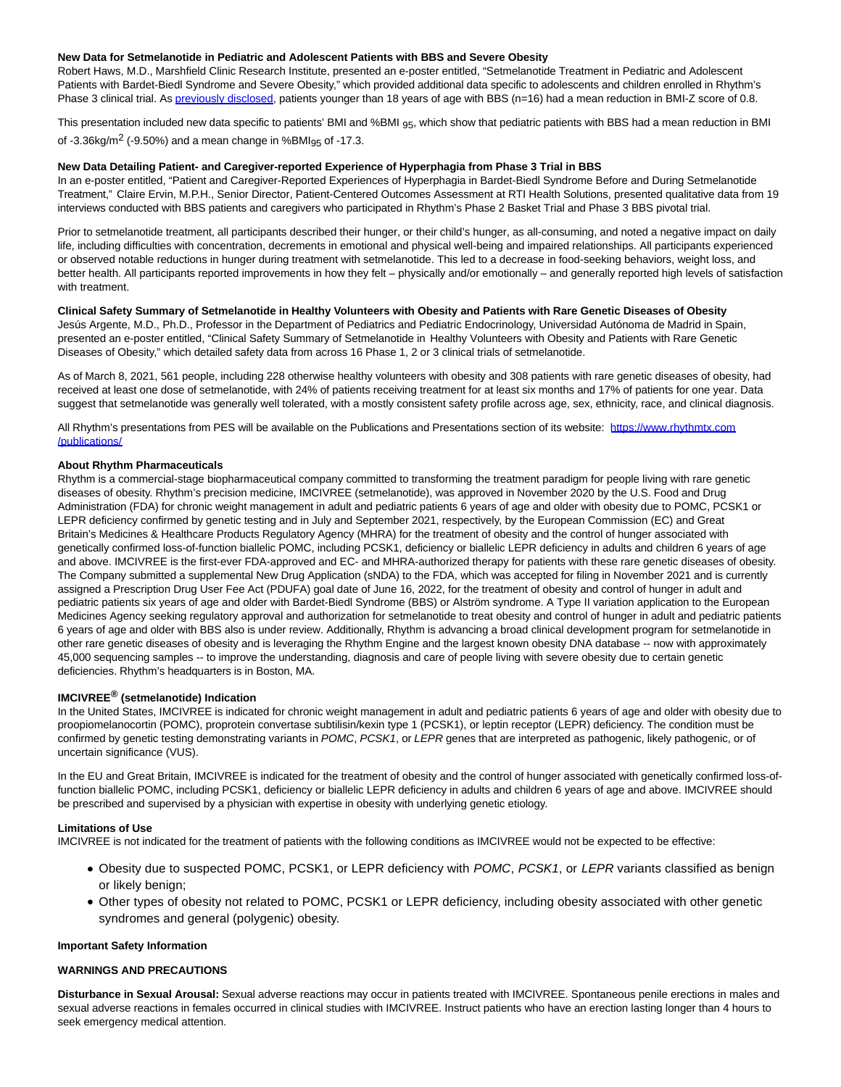#### **New Data for Setmelanotide in Pediatric and Adolescent Patients with BBS and Severe Obesity**

Robert Haws, M.D., Marshfield Clinic Research Institute, presented an e-poster entitled, "Setmelanotide Treatment in Pediatric and Adolescent Patients with Bardet-Biedl Syndrome and Severe Obesity," which provided additional data specific to adolescents and children enrolled in Rhythm's Phase 3 clinical trial. As [previously disclosed,](https://www.globenewswire.com/Tracker?data=oWBSj1noTThh7eShonmcwPVCTlOuQoXp8LNe8oR-eGgBzllYkTmyD7MV5e2DjwJGJGeEao93iu3XTIZqxohpHqhHnq4IqLg9kPRttITRa1qMXnAbCR22zbNy-FuZG3UTQ3DHyt6DQtjXRDoDPWox-uFoTr71dKfRSbVgwgNjpdhmLu5oxCZmQRiiLBzsY2pMYZNQi4ntSe5c1bdpcGgQAE7_xwR4IM7W1Ou2bkFQRzE=) patients younger than 18 years of age with BBS (n=16) had a mean reduction in BMI-Z score of 0.8.

This presentation included new data specific to patients' BMI and %BMI <sub>95</sub>, which show that pediatric patients with BBS had a mean reduction in BMI of  $-3.36$ kg/m<sup>2</sup> ( $-9.50$ %) and a mean change in %BMI<sub>95</sub> of  $-17.3$ .

### **New Data Detailing Patient- and Caregiver-reported Experience of Hyperphagia from Phase 3 Trial in BBS**

In an e-poster entitled, "Patient and Caregiver-Reported Experiences of Hyperphagia in Bardet-Biedl Syndrome Before and During Setmelanotide Treatment," Claire Ervin, M.P.H., Senior Director, Patient-Centered Outcomes Assessment at RTI Health Solutions, presented qualitative data from 19 interviews conducted with BBS patients and caregivers who participated in Rhythm's Phase 2 Basket Trial and Phase 3 BBS pivotal trial.

Prior to setmelanotide treatment, all participants described their hunger, or their child's hunger, as all-consuming, and noted a negative impact on daily life, including difficulties with concentration, decrements in emotional and physical well-being and impaired relationships. All participants experienced or observed notable reductions in hunger during treatment with setmelanotide. This led to a decrease in food-seeking behaviors, weight loss, and better health. All participants reported improvements in how they felt – physically and/or emotionally – and generally reported high levels of satisfaction with treatment.

**Clinical Safety Summary of Setmelanotide in Healthy Volunteers with Obesity and Patients with Rare Genetic Diseases of Obesity** Jesús Argente, M.D., Ph.D., Professor in the Department of Pediatrics and Pediatric Endocrinology, Universidad Autónoma de Madrid in Spain, presented an e-poster entitled, "Clinical Safety Summary of Setmelanotide in Healthy Volunteers with Obesity and Patients with Rare Genetic Diseases of Obesity," which detailed safety data from across 16 Phase 1, 2 or 3 clinical trials of setmelanotide.

As of March 8, 2021, 561 people, including 228 otherwise healthy volunteers with obesity and 308 patients with rare genetic diseases of obesity, had received at least one dose of setmelanotide, with 24% of patients receiving treatment for at least six months and 17% of patients for one year. Data suggest that setmelanotide was generally well tolerated, with a mostly consistent safety profile across age, sex, ethnicity, race, and clinical diagnosis.

All Rhythm's presentations from PES will be available on the Publications and Presentations section of its website: [https://www.rhythmtx.com](https://www.globenewswire.com/Tracker?data=F0OziXj0gmmdh2OLos8mhCi2B82p8DoxY5V8TbNpJofe_w2L6_G0RWRdYOdQynHbn-SrmRF_hKCZrJPWSEMu99IfxxoXcFEsuGYTb81r-ZN7bB9RZbS01H-dHAS2wLQ7Tk_NEgnv0p8EmJjK---1MK5PT6WF_qsjGyoOk7MF_AhZ012Goe4BA-oaflxdGBu8uffoSMR5oRRkzBV7WnX4QMZ8CZmd3hAMWxABluxO6PgV8Si_POD5v4MxQl0oP70zhLQyVpBS_-ejN7-0xIUZpeXZxCBKsoW-XKUR324AAfx1YrK6zwzPLfYgkN3FQWa7MRHJcNDnd9PyjYx4IGL8Sg==) /publications/

#### **About Rhythm Pharmaceuticals**

Rhythm is a commercial-stage biopharmaceutical company committed to transforming the treatment paradigm for people living with rare genetic diseases of obesity. Rhythm's precision medicine, IMCIVREE (setmelanotide), was approved in November 2020 by the U.S. Food and Drug Administration (FDA) for chronic weight management in adult and pediatric patients 6 years of age and older with obesity due to POMC, PCSK1 or LEPR deficiency confirmed by genetic testing and in July and September 2021, respectively, by the European Commission (EC) and Great Britain's Medicines & Healthcare Products Regulatory Agency (MHRA) for the treatment of obesity and the control of hunger associated with genetically confirmed loss-of-function biallelic POMC, including PCSK1, deficiency or biallelic LEPR deficiency in adults and children 6 years of age and above. IMCIVREE is the first-ever FDA-approved and EC- and MHRA-authorized therapy for patients with these rare genetic diseases of obesity. The Company submitted a supplemental New Drug Application (sNDA) to the FDA, which was accepted for filing in November 2021 and is currently assigned a Prescription Drug User Fee Act (PDUFA) goal date of June 16, 2022, for the treatment of obesity and control of hunger in adult and pediatric patients six years of age and older with Bardet-Biedl Syndrome (BBS) or Alström syndrome. A Type II variation application to the European Medicines Agency seeking regulatory approval and authorization for setmelanotide to treat obesity and control of hunger in adult and pediatric patients 6 years of age and older with BBS also is under review. Additionally, Rhythm is advancing a broad clinical development program for setmelanotide in other rare genetic diseases of obesity and is leveraging the Rhythm Engine and the largest known obesity DNA database -- now with approximately 45,000 sequencing samples -- to improve the understanding, diagnosis and care of people living with severe obesity due to certain genetic deficiencies. Rhythm's headquarters is in Boston, MA.

# **IMCIVREE® (setmelanotide) Indication**

In the United States, IMCIVREE is indicated for chronic weight management in adult and pediatric patients 6 years of age and older with obesity due to proopiomelanocortin (POMC), proprotein convertase subtilisin/kexin type 1 (PCSK1), or leptin receptor (LEPR) deficiency. The condition must be confirmed by genetic testing demonstrating variants in POMC, PCSK1, or LEPR genes that are interpreted as pathogenic, likely pathogenic, or of uncertain significance (VUS).

In the EU and Great Britain, IMCIVREE is indicated for the treatment of obesity and the control of hunger associated with genetically confirmed loss-offunction biallelic POMC, including PCSK1, deficiency or biallelic LEPR deficiency in adults and children 6 years of age and above. IMCIVREE should be prescribed and supervised by a physician with expertise in obesity with underlying genetic etiology.

#### **Limitations of Use**

IMCIVREE is not indicated for the treatment of patients with the following conditions as IMCIVREE would not be expected to be effective:

- Obesity due to suspected POMC, PCSK1, or LEPR deficiency with POMC, PCSK1, or LEPR variants classified as benign or likely benign;
- Other types of obesity not related to POMC, PCSK1 or LEPR deficiency, including obesity associated with other genetic syndromes and general (polygenic) obesity.

#### **Important Safety Information**

#### **WARNINGS AND PRECAUTIONS**

**Disturbance in Sexual Arousal:** Sexual adverse reactions may occur in patients treated with IMCIVREE. Spontaneous penile erections in males and sexual adverse reactions in females occurred in clinical studies with IMCIVREE. Instruct patients who have an erection lasting longer than 4 hours to seek emergency medical attention.